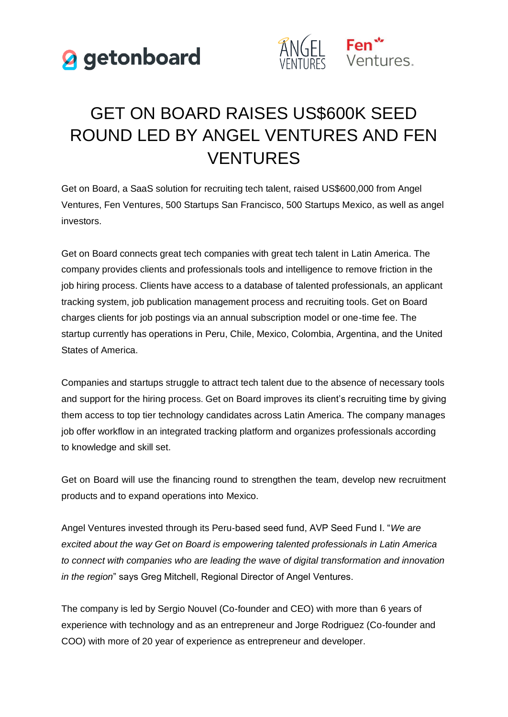



## GET ON BOARD RAISES US\$600K SEED ROUND LED BY ANGEL VENTURES AND FEN **VENTURES**

Get on Board, a SaaS solution for recruiting tech talent, raised US\$600,000 from Angel Ventures, Fen Ventures, 500 Startups San Francisco, 500 Startups Mexico, as well as angel investors.

Get on Board connects great tech companies with great tech talent in Latin America. The company provides clients and professionals tools and intelligence to remove friction in the job hiring process. Clients have access to a database of talented professionals, an applicant tracking system, job publication management process and recruiting tools. Get on Board charges clients for job postings via an annual subscription model or one-time fee. The startup currently has operations in Peru, Chile, Mexico, Colombia, Argentina, and the United States of America.

Companies and startups struggle to attract tech talent due to the absence of necessary tools and support for the hiring process. Get on Board improves its client's recruiting time by giving them access to top tier technology candidates across Latin America. The company manages job offer workflow in an integrated tracking platform and organizes professionals according to knowledge and skill set.

Get on Board will use the financing round to strengthen the team, develop new recruitment products and to expand operations into Mexico.

Angel Ventures invested through its Peru-based seed fund, AVP Seed Fund I. "*We are excited about the way Get on Board is empowering talented professionals in Latin America to connect with companies who are leading the wave of digital transformation and innovation in the region*" says Greg Mitchell, Regional Director of Angel Ventures.

The company is led by Sergio Nouvel (Co-founder and CEO) with more than 6 years of experience with technology and as an entrepreneur and Jorge Rodriguez (Co-founder and COO) with more of 20 year of experience as entrepreneur and developer.